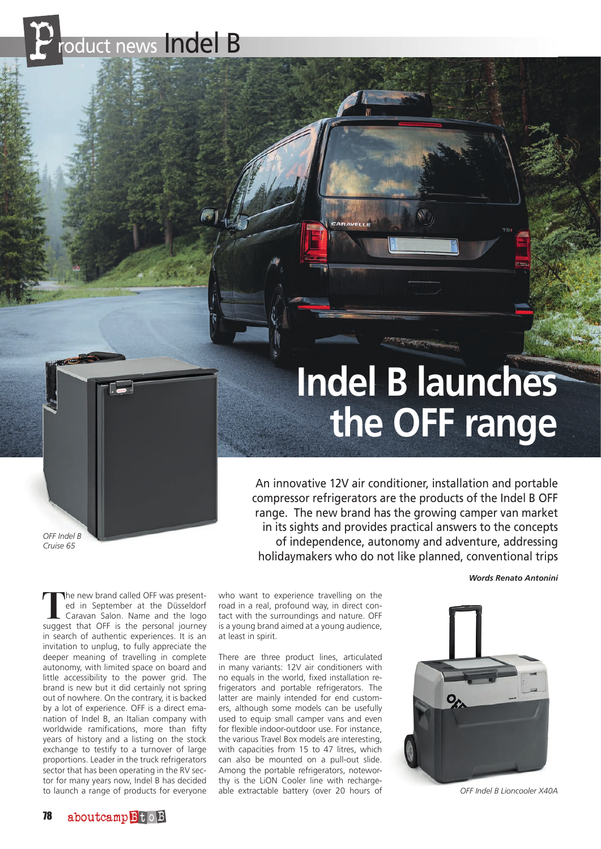roduct news Indel B

## **Indel B launches the OFF range**

*OFF Indel B Cruise 65*

An innovative 12V air conditioner, installation and portable compressor refrigerators are the products of the Indel B OFF range. The new brand has the growing camper van market in its sights and provides practical answers to the concepts of independence, autonomy and adventure, addressing holidaymakers who do not like planned, conventional trips

*Words Renato Antonini*

The new brand called OFF was presented in September at the Düsseldorf Caravan Salon. Name and the logo<br>
suggest that OFF is the personal journey ed in September at the Düsseldorf suggest that OFF is the personal journey in search of authentic experiences. It is an invitation to unplug, to fully appreciate the deeper meaning of travelling in complete autonomy, with limited space on board and little accessibility to the power grid. The brand is new but it did certainly not spring out of nowhere. On the contrary, it is backed by a lot of experience. OFF is a direct emanation of Indel B, an Italian company with worldwide ramifications, more than fifty years of history and a listing on the stock exchange to testify to a turnover of large proportions. Leader in the truck refrigerators sector that has been operating in the RV sector for many years now, Indel B has decided to launch a range of products for everyone

who want to experience travelling on the road in a real, profound way, in direct contact with the surroundings and nature. OFF is a young brand aimed at a young audience, at least in spirit.

There are three product lines, articulated in many variants: 12V air conditioners with no equals in the world, fixed installation refrigerators and portable refrigerators. The latter are mainly intended for end customers, although some models can be usefully used to equip small camper vans and even for flexible indoor-outdoor use. For instance, the various Travel Box models are interesting, with capacities from 15 to 47 litres, which can also be mounted on a pull-out slide. Among the portable refrigerators, noteworthy is the LiON Cooler line with rechargeable extractable battery (over 20 hours of